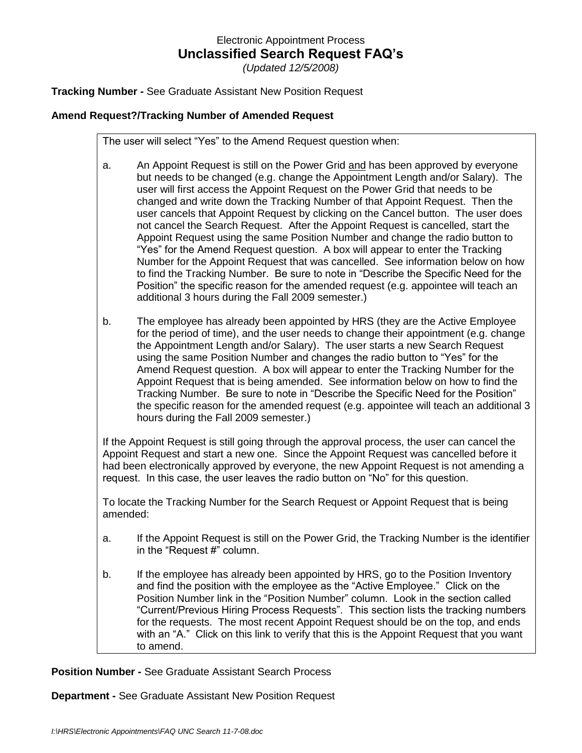## Electronic Appointment Process **Unclassified Search Request FAQ's**

*(Updated 12/5/2008)*

**Tracking Number -** See Graduate Assistant New Position Request

### **Amend Request?/Tracking Number of Amended Request**

The user will select "Yes" to the Amend Request question when:

- a. An Appoint Request is still on the Power Grid and has been approved by everyone but needs to be changed (e.g. change the Appointment Length and/or Salary). The user will first access the Appoint Request on the Power Grid that needs to be changed and write down the Tracking Number of that Appoint Request. Then the user cancels that Appoint Request by clicking on the Cancel button. The user does not cancel the Search Request. After the Appoint Request is cancelled, start the Appoint Request using the same Position Number and change the radio button to "Yes" for the Amend Request question. A box will appear to enter the Tracking Number for the Appoint Request that was cancelled. See information below on how to find the Tracking Number. Be sure to note in "Describe the Specific Need for the Position" the specific reason for the amended request (e.g. appointee will teach an additional 3 hours during the Fall 2009 semester.)
- b. The employee has already been appointed by HRS (they are the Active Employee for the period of time), and the user needs to change their appointment (e.g. change the Appointment Length and/or Salary). The user starts a new Search Request using the same Position Number and changes the radio button to "Yes" for the Amend Request question. A box will appear to enter the Tracking Number for the Appoint Request that is being amended. See information below on how to find the Tracking Number. Be sure to note in "Describe the Specific Need for the Position" the specific reason for the amended request (e.g. appointee will teach an additional 3 hours during the Fall 2009 semester.)

If the Appoint Request is still going through the approval process, the user can cancel the Appoint Request and start a new one. Since the Appoint Request was cancelled before it had been electronically approved by everyone, the new Appoint Request is not amending a request. In this case, the user leaves the radio button on "No" for this question.

To locate the Tracking Number for the Search Request or Appoint Request that is being amended:

- a. If the Appoint Request is still on the Power Grid, the Tracking Number is the identifier in the "Request #" column.
- b. If the employee has already been appointed by HRS, go to the Position Inventory and find the position with the employee as the "Active Employee." Click on the Position Number link in the "Position Number" column. Look in the section called "Current/Previous Hiring Process Requests". This section lists the tracking numbers for the requests. The most recent Appoint Request should be on the top, and ends with an "A." Click on this link to verify that this is the Appoint Request that you want to amend.

**Position Number -** See Graduate Assistant Search Process

**Department -** See Graduate Assistant New Position Request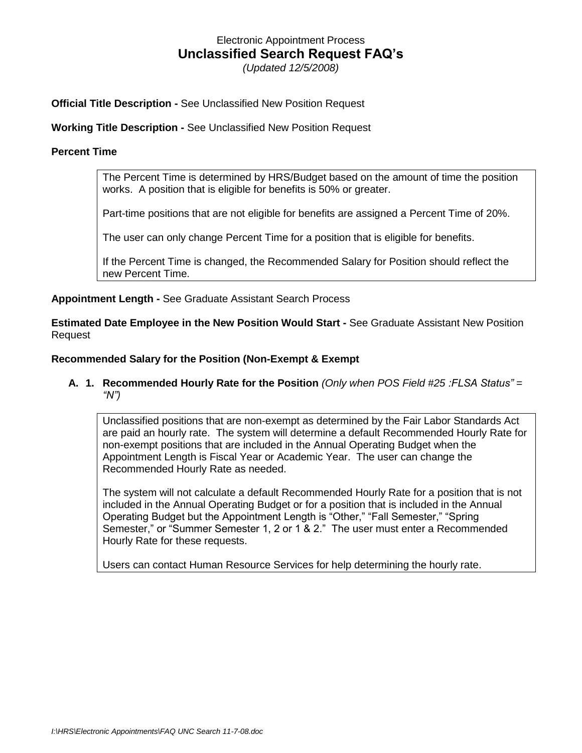# Electronic Appointment Process **Unclassified Search Request FAQ's**

*(Updated 12/5/2008)*

**Official Title Description -** See Unclassified New Position Request

**Working Title Description -** See Unclassified New Position Request

### **Percent Time**

The Percent Time is determined by HRS/Budget based on the amount of time the position works. A position that is eligible for benefits is 50% or greater.

Part-time positions that are not eligible for benefits are assigned a Percent Time of 20%.

The user can only change Percent Time for a position that is eligible for benefits.

If the Percent Time is changed, the Recommended Salary for Position should reflect the new Percent Time.

**Appointment Length -** See Graduate Assistant Search Process

**Estimated Date Employee in the New Position Would Start -** See Graduate Assistant New Position Request

### **Recommended Salary for the Position (Non-Exempt & Exempt**

### **A. 1. Recommended Hourly Rate for the Position** *(Only when POS Field #25 :FLSA Status" = "N")*

Unclassified positions that are non-exempt as determined by the Fair Labor Standards Act are paid an hourly rate. The system will determine a default Recommended Hourly Rate for non-exempt positions that are included in the Annual Operating Budget when the Appointment Length is Fiscal Year or Academic Year. The user can change the Recommended Hourly Rate as needed.

The system will not calculate a default Recommended Hourly Rate for a position that is not included in the Annual Operating Budget or for a position that is included in the Annual Operating Budget but the Appointment Length is "Other," "Fall Semester," "Spring Semester," or "Summer Semester 1, 2 or 1 & 2." The user must enter a Recommended Hourly Rate for these requests.

Users can contact Human Resource Services for help determining the hourly rate.